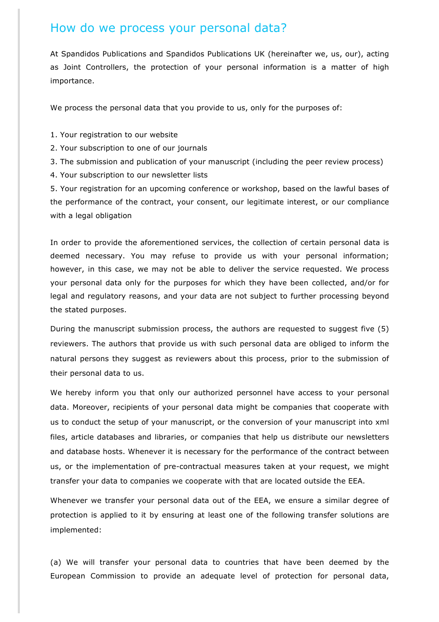## How do we process your personal data?

At Spandidos Publications and Spandidos Publications UK (hereinafter we, us, our), acting as Joint Controllers, the protection of your personal information is a matter of high importance.

We process the personal data that you provide to us, only for the purposes of:

1. Your registration to our website

2. Your subscription to one of our journals

3. The submission and publication of your manuscript (including the peer review process)

4. Your subscription to our newsletter lists

5. Your registration for an upcoming conference or workshop, based on the lawful bases of the performance of the contract, your consent, our legitimate interest, or our compliance with a legal obligation

In order to provide the aforementioned services, the collection of certain personal data is deemed necessary. You may refuse to provide us with your personal information; however, in this case, we may not be able to deliver the service requested. We process your personal data only for the purposes for which they have been collected, and/or for legal and regulatory reasons, and your data are not subject to further processing beyond the stated purposes.

During the manuscript submission process, the authors are requested to suggest five (5) reviewers. The authors that provide us with such personal data are obliged to inform the natural persons they suggest as reviewers about this process, prior to the submission of their personal data to us.

We hereby inform you that only our authorized personnel have access to your personal data. Moreover, recipients of your personal data might be companies that cooperate with us to conduct the setup of your manuscript, or the conversion of your manuscript into xml files, article databases and libraries, or companies that help us distribute our newsletters and database hosts. Whenever it is necessary for the performance of the contract between us, or the implementation of pre-contractual measures taken at your request, we might transfer your data to companies we cooperate with that are located outside the EEA.

Whenever we transfer your personal data out of the EEA, we ensure a similar degree of protection is applied to it by ensuring at least one of the following transfer solutions are implemented:

(a) We will transfer your personal data to countries that have been deemed by the European Commission to provide an adequate level of protection for personal data,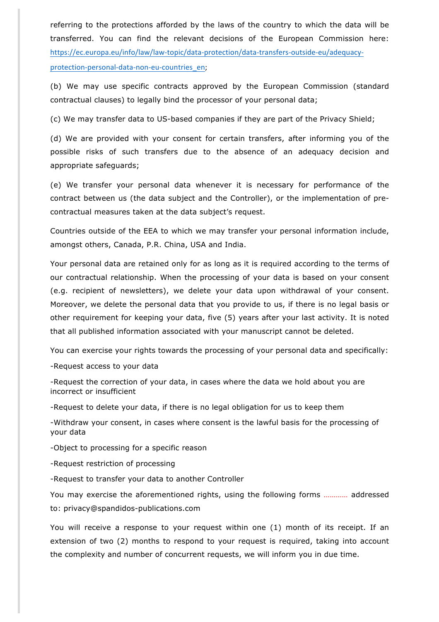referring to the protections afforded by the laws of the country to which the data will be transferred. You can find the relevant decisions of the European Commission here: https://ec.europa.eu/info/law/law-topic/data-protection/data-transfers-outside-eu/adequacyprotection-personal-data-non-eu-countries\_en;

(b) We may use specific contracts approved by the European Commission (standard contractual clauses) to legally bind the processor of your personal data;

(c) We may transfer data to US-based companies if they are part of the Privacy Shield;

(d) We are provided with your consent for certain transfers, after informing you of the possible risks of such transfers due to the absence of an adequacy decision and appropriate safeguards;

(e) We transfer your personal data whenever it is necessary for performance of the contract between us (the data subject and the Controller), or the implementation of precontractual measures taken at the data subject's request.

Countries outside of the EEA to which we may transfer your personal information include, amongst others, Canada, P.R. China, USA and India.

Your personal data are retained only for as long as it is required according to the terms of our contractual relationship. When the processing of your data is based on your consent (e.g. recipient of newsletters), we delete your data upon withdrawal of your consent. Moreover, we delete the personal data that you provide to us, if there is no legal basis or other requirement for keeping your data, five (5) years after your last activity. It is noted that all published information associated with your manuscript cannot be deleted.

You can exercise your rights towards the processing of your personal data and specifically:

-Request access to your data

-Request the correction of your data, in cases where the data we hold about you are incorrect or insufficient

-Request to delete your data, if there is no legal obligation for us to keep them

-Withdraw your consent, in cases where consent is the lawful basis for the processing of your data

-Object to processing for a specific reason

-Request restriction of processing

-Request to transfer your data to another Controller

You may exercise the aforementioned rights, using the following forms ………… addressed to: privacy@spandidos-publications.com

You will receive a response to your request within one (1) month of its receipt. If an extension of two (2) months to respond to your request is required, taking into account the complexity and number of concurrent requests, we will inform you in due time.